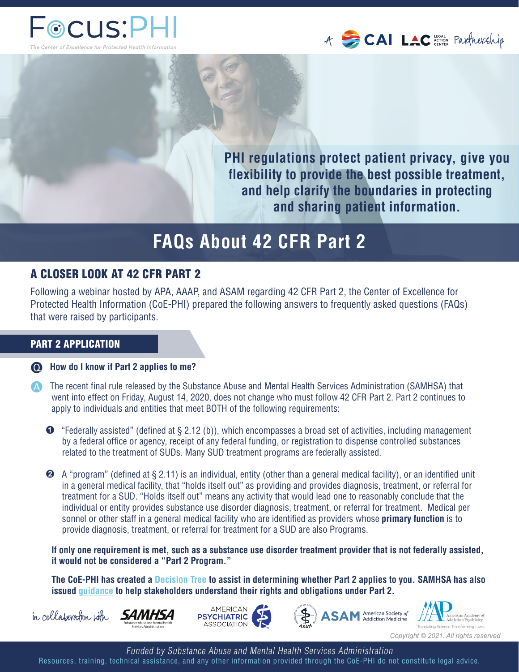



**PHI regulations protect patient privacy, give you flexibility to provide the best possible treatment, and help clarify the boundaries in protecting and sharing patient information.** 

# **FAQs About 42 CFR Part 2**

## A CLOSER LOOK AT 42 CFR PART 2

Following a webinar hosted by APA, AAAP, and ASAM regarding 42 CFR Part 2, the Center of Excellence for Protected Health Information (CoE-PHI) prepared the following answers to frequently asked questions (FAQs) that were raised by participants.

## PART 2 APPLICATION

**How do I know if Part 2 applies to me?**

- The recent final rule released by the Substance Abuse and Mental Health Services Administration (SAMHSA) that went into effect on Friday, August 14, 2020, does not change who must follow 42 CFR Part 2. Part 2 continues to apply to individuals and entities that meet BOTH of the following requirements:
	- ➊ "Federally assisted" (defined at § 2.12 (b)), which encompasses a broad set of activities, including management by a federal office or agency, receipt of any federal funding, or registration to dispense controlled substances related to the treatment of SUDs. Many SUD treatment programs are federally assisted.
	- ➋ A "program" (defined at § 2.11) is an individual, entity (other than a general medical facility), or an identified unit in a general medical facility, that "holds itself out" as providing and provides diagnosis, treatment, or referral for treatment for a SUD. "Holds itself out" means any activity that would lead one to reasonably conclude that the individual or entity provides substance use disorder diagnosis, treatment, or referral for treatment. Medical per sonnel or other staff in a general medical facility who are identified as providers whose **primary function** is to provide diagnosis, treatment, or referral for treatment for a SUD are also Programs.

 **If only one requirement is met, such as a substance use disorder treatment provider that is not federally assisted, it would not be considered a "Part 2 Program."** 

 **The CoE-PHI has created a [Decision Tree](https://coephi.org/sites/default/files/I%20provide%20SUD%20services%20in%20an%20FQHC.pdf) to assist in determining whether Part 2 applies to you. SAMHSA has also issued [guidance](https://www.samhsa.gov/sites/default/files/does-part2-apply.pdf) to help stakeholders understand their rights and obligations under Part 2.**









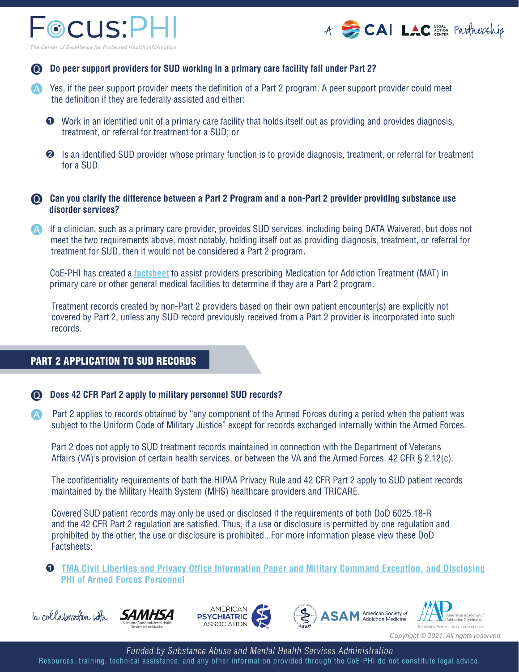



### **Do peer support providers for SUD working in a primary care facility fall under Part 2?**

- Yes, if the peer support provider meets the definition of a Part 2 program. A peer support provider could meet the definition if they are federally assisted and either:
	- ➊ Work in an identified unit of a primary care facility that holds itself out as providing and provides diagnosis, treatment, or referral for treatment for a SUD; or
	- **<sup>●</sup>** Is an identified SUD provider whose primary function is to provide diagnosis, treatment, or referral for treatment for a SUD.

## **Can you clarify the difference between a Part 2 Program and a non-Part 2 provider providing substance use disorder services?**

 If a clinician, such as a primary care provider, provides SUD services, including being DATA Waivered, but does not meet the two requirements above, most notably, holding itself out as providing diagnosis, treatment, or referral for treatment for SUD, then it would not be considered a Part 2 program**.** 

CoE-PHI has created a **[factsheet](https://s3.amazonaws.com/files.formstack.com/uploads/1959594/31741026/623496019/31741026_prescribing_mat_in_a_general_medical_facility.pdf)** to assist providers prescribing Medication for Addiction Treatment (MAT) in primary care or other general medical facilities to determine if they are a Part 2 program.

 Treatment records created by non-Part 2 providers based on their own patient encounter(s) are explicitly not covered by Part 2, unless any SUD record previously received from a Part 2 provider is incorporated into such records.

## PART 2 APPLICATION TO SUD RECORDS

#### **Co.** Does 42 CFR Part 2 apply to military personnel SUD records?

**Part 2 applies to records obtained by "any component of the Armed Forces during a period when the patient was** subject to the Uniform Code of Military Justice" except for records exchanged internally within the Armed Forces.

 Part 2 does not apply to SUD treatment records maintained in connection with the Department of Veterans Affairs (VA)'s provision of certain health services, or between the VA and the Armed Forces. 42 CFR § 2.12(c).

 The confidentiality requirements of both the HIPAA Privacy Rule and 42 CFR Part 2 apply to SUD patient records maintained by the Military Health System (MHS) healthcare providers and TRICARE.

 Covered SUD patient records may only be used or disclosed if the requirements of both DoD 6025.18-R and the 42 CFR Part 2 regulation are satisfied. Thus, if a use or disclosure is permitted by one regulation and prohibited by the other, the use or disclosure is prohibited.. For more information please view these DoD Factsheets:

➊ **[TMA Civil Liberties and Privacy Office Information Paper and Military Command Exception, and Disclosing](https://www.health.mil/Military-Health-Topics/Privacy-and-Civil-Liberties/HIPAA-Compliance-within-the-MHS/Military-Command-Exception)   [PHI of Armed Forces Personnel](https://www.health.mil/Military-Health-Topics/Privacy-and-Civil-Liberties/HIPAA-Compliance-within-the-MHS/Military-Command-Exception)**









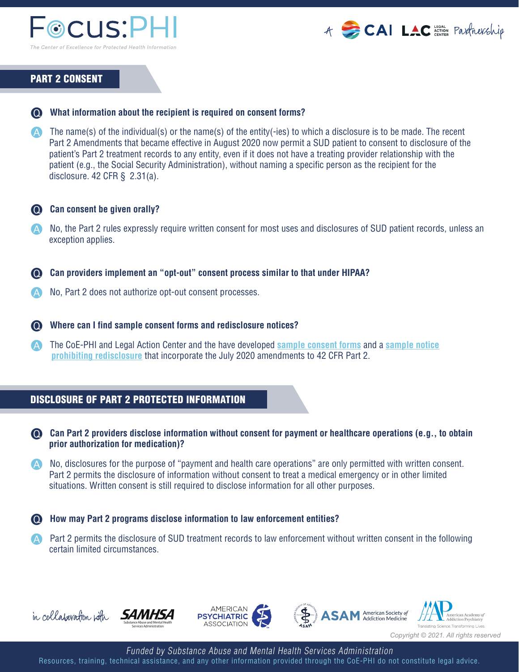



## PART 2 CONSENT

## **What information about the recipient is required on consent forms?**

 $\blacktriangle$  The name(s) of the individual(s) or the name(s) of the entity(-ies) to which a disclosure is to be made. The recent Part 2 Amendments that became effective in August 2020 now permit a SUD patient to consent to disclosure of the patient's Part 2 treatment records to any entity, even if it does not have a treating provider relationship with the patient (e.g., the Social Security Administration), without naming a specific person as the recipient for the disclosure.  $42$  CFR §  $2.31(a)$ .

#### **Can consent be given orally?**

- No, the Part 2 rules expressly require written consent for most uses and disclosures of SUD patient records, unless an exception applies.
- **Can providers implement an "opt-out" consent process similar to that under HIPAA?**
- No, Part 2 does not authorize opt-out consent processes.

#### **Where can I find sample consent forms and redisclosure notices?**

 The CoE-PHI and Legal Action Center and the have developed **[sample consent forms](https://coephi.org/sites/default/files/31741026_sample_consent_authorizing_disclosure_of_confidential_sud_patient_records.pdf)** and a **[sample notice](https://www.lac.org/resource/sample-forms-regarding-substance-use-treatment-confidentiality)  [prohibiting redisclosure](https://www.lac.org/resource/sample-forms-regarding-substance-use-treatment-confidentiality)** that incorporate the July 2020 amendments to 42 CFR Part 2.

#### DISCLOSURE OF PART 2 PROTECTED INFORMATION

- **Can Part 2 providers disclose information without consent for payment or healthcare operations (e.g., to obtain prior authorization for medication)?**
- A No, disclosures for the purpose of "payment and health care operations" are only permitted with written consent. Part 2 permits the disclosure of information without consent to treat a medical emergency or in other limited situations. Written consent is still required to disclose information for all other purposes.

#### **How may Part 2 programs disclose information to law enforcement entities?**

**Part 2 permits the disclosure of SUD treatment records to law enforcement without written consent in the following** certain limited circumstances.